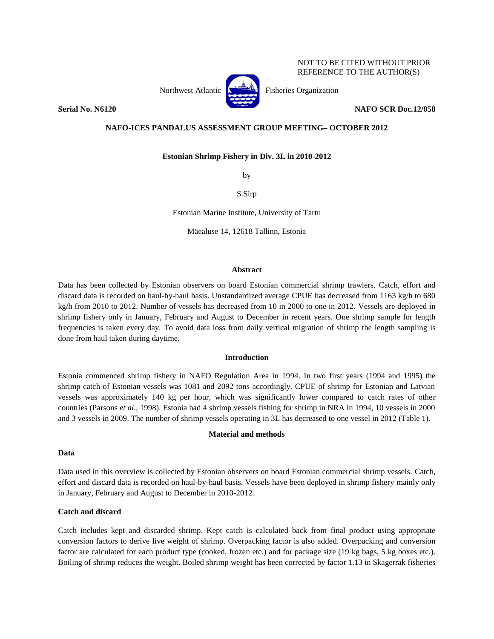### NOT TO BE CITED WITHOUT PRIOR REFERENCE TO THE AUTHOR(S)



**Serial No. N6120 NAFO SCR Doc.12/058**

# **NAFO-ICES PANDALUS ASSESSMENT GROUP MEETING– OCTOBER 2012**

**Estonian Shrimp Fishery in Div. 3L in 2010-2012**

by

S.Sirp

Estonian Marine Institute, University of Tartu

Mäealuse 14, 12618 Tallinn, Estonia

#### **Abstract**

Data has been collected by Estonian observers on board Estonian commercial shrimp trawlers. Catch, effort and discard data is recorded on haul-by-haul basis. Unstandardized average CPUE has decreased from 1163 kg/h to 680 kg/h from 2010 to 2012. Number of vessels has decreased from 10 in 2000 to one in 2012. Vessels are deployed in shrimp fishery only in January, February and August to December in recent years. One shrimp sample for length frequencies is taken every day. To avoid data loss from daily vertical migration of shrimp the length sampling is done from haul taken during daytime.

### **Introduction**

Estonia commenced shrimp fishery in NAFO Regulation Area in 1994. In two first years (1994 and 1995) the shrimp catch of Estonian vessels was 1081 and 2092 tons accordingly. CPUE of shrimp for Estonian and Latvian vessels was approximately 140 kg per hour, which was significantly lower compared to catch rates of other countries (Parsons *et al.*, 1998). Estonia had 4 shrimp vessels fishing for shrimp in NRA in 1994, 10 vessels in 2000 and 3 vessels in 2009. The number of shrimp vessels operating in 3L has decreased to one vessel in 2012 (Table 1).

### **Material and methods**

# **Data**

Data used in this overview is collected by Estonian observers on board Estonian commercial shrimp vessels. Catch, effort and discard data is recorded on haul-by-haul basis. Vessels have been deployed in shrimp fishery mainly only in January, February and August to December in 2010-2012.

# **Catch and discard**

Catch includes kept and discarded shrimp. Kept catch is calculated back from final product using appropriate conversion factors to derive live weight of shrimp. Overpacking factor is also added. Overpacking and conversion factor are calculated for each product type (cooked, frozen etc.) and for package size (19 kg bags, 5 kg boxes etc.). Boiling of shrimp reduces the weight. Boiled shrimp weight has been corrected by factor 1.13 in Skagerrak fisheries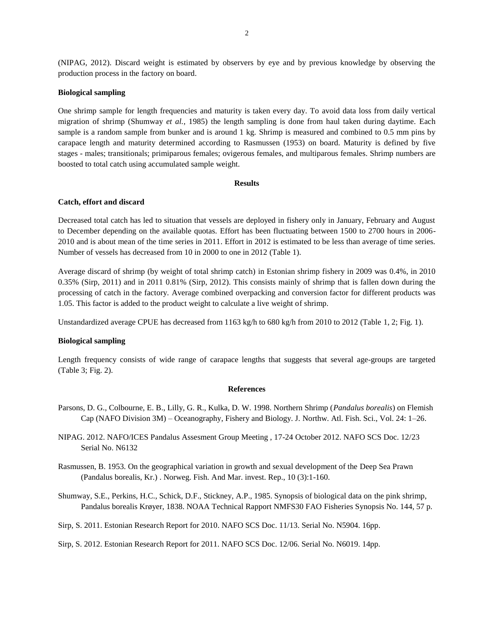(NIPAG, 2012). Discard weight is estimated by observers by eye and by previous knowledge by observing the production process in the factory on board.

# **Biological sampling**

One shrimp sample for length frequencies and maturity is taken every day. To avoid data loss from daily vertical migration of shrimp (Shumway *et al.*, 1985) the length sampling is done from haul taken during daytime. Each sample is a random sample from bunker and is around 1 kg. Shrimp is measured and combined to 0.5 mm pins by carapace length and maturity determined according to Rasmussen (1953) on board. Maturity is defined by five stages - males; transitionals; primiparous females; ovigerous females, and multiparous females. Shrimp numbers are boosted to total catch using accumulated sample weight.

#### **Results**

#### **Catch, effort and discard**

Decreased total catch has led to situation that vessels are deployed in fishery only in January, February and August to December depending on the available quotas. Effort has been fluctuating between 1500 to 2700 hours in 2006- 2010 and is about mean of the time series in 2011. Effort in 2012 is estimated to be less than average of time series. Number of vessels has decreased from 10 in 2000 to one in 2012 (Table 1).

Average discard of shrimp (by weight of total shrimp catch) in Estonian shrimp fishery in 2009 was 0.4%, in 2010 0.35% (Sirp, 2011) and in 2011 0.81% (Sirp, 2012). This consists mainly of shrimp that is fallen down during the processing of catch in the factory. Average combined overpacking and conversion factor for different products was 1.05. This factor is added to the product weight to calculate a live weight of shrimp.

Unstandardized average CPUE has decreased from 1163 kg/h to 680 kg/h from 2010 to 2012 (Table 1, 2; Fig. 1).

# **Biological sampling**

Length frequency consists of wide range of carapace lengths that suggests that several age-groups are targeted (Table 3; Fig. 2).

#### **References**

- Parsons, D. G., Colbourne, E. B., Lilly, G. R., Kulka, D. W. 1998. Northern Shrimp (*Pandalus borealis*) on Flemish Cap (NAFO Division 3M) – Oceanography, Fishery and Biology. J. Northw. Atl. Fish. Sci., Vol. 24: 1–26.
- NIPAG. 2012. NAFO/ICES Pandalus Assesment Group Meeting , 17-24 October 2012. NAFO SCS Doc. 12/23 Serial No. N6132
- Rasmussen, B. 1953. On the geographical variation in growth and sexual development of the Deep Sea Prawn (Pandalus borealis, Kr.) . Norweg. Fish. And Mar. invest. Rep., 10 (3):1-160.

Shumway, S.E., Perkins, H.C., Schick, D.F., Stickney, A.P., 1985. Synopsis of biological data on the pink shrimp, Pandalus borealis Krøyer, 1838. NOAA Technical Rapport NMFS30 FAO Fisheries Synopsis No. 144, 57 p.

Sirp, S. 2011. Estonian Research Report for 2010. NAFO SCS Doc. 11/13. Serial No. N5904. 16pp.

Sirp, S. 2012. Estonian Research Report for 2011. NAFO SCS Doc. 12/06. Serial No. N6019. 14pp.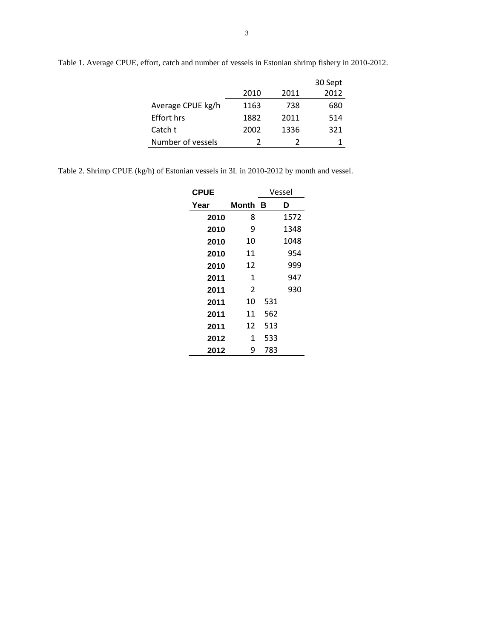|                   |      |      | 30 Sept |
|-------------------|------|------|---------|
|                   | 2010 | 2011 | 2012    |
| Average CPUE kg/h | 1163 | 738  | 680     |
| <b>Effort hrs</b> | 1882 | 2011 | 514     |
| Catch t           | 2002 | 1336 | 321     |
| Number of vessels |      | 2    |         |

Table 1. Average CPUE, effort, catch and number of vessels in Estonian shrimp fishery in 2010-2012.

Table 2. Shrimp CPUE (kg/h) of Estonian vessels in 3L in 2010-2012 by month and vessel.

| <b>CPUE</b> |              | Vessel |      |  |
|-------------|--------------|--------|------|--|
| Year        | Month        | в      | D    |  |
| 2010        | 8            |        | 1572 |  |
| 2010        | 9            |        | 1348 |  |
| 2010        | 10           |        | 1048 |  |
| 2010        | 11           |        | 954  |  |
| 2010        | 12           |        | 999  |  |
| 2011        | $\mathbf{1}$ |        | 947  |  |
| 2011        | 2            |        | 930  |  |
| 2011        | 10           | 531    |      |  |
| 2011        | 11           | 562    |      |  |
| 2011        | 12           | 513    |      |  |
| 2012        | 1            | 533    |      |  |
| 2012        | 9            | 783    |      |  |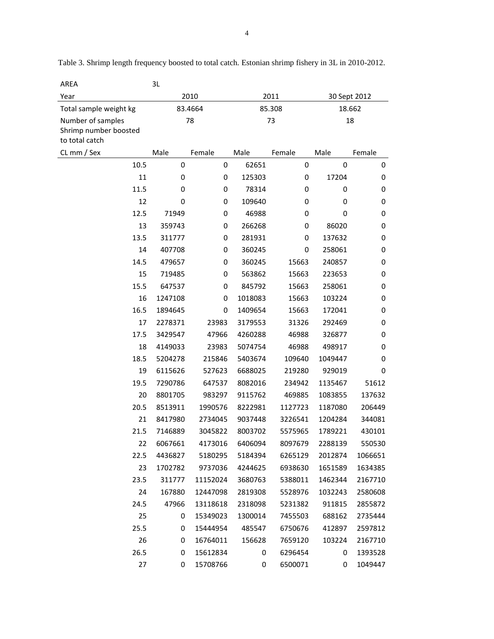| AREA                                                         | 3L      |          |         |         |              |         |
|--------------------------------------------------------------|---------|----------|---------|---------|--------------|---------|
| Year                                                         | 2010    |          | 2011    |         | 30 Sept 2012 |         |
| Total sample weight kg                                       |         | 83.4664  | 85.308  |         | 18.662       |         |
| Number of samples<br>Shrimp number boosted<br>to total catch | 78      |          | 73      |         | 18           |         |
| CL mm / Sex                                                  | Male    | Female   | Male    | Female  | Male         | Female  |
| 10.5                                                         | 0       | 0        | 62651   | 0       | 0            | 0       |
| 11                                                           | 0       | 0        | 125303  | 0       | 17204        | 0       |
| 11.5                                                         | 0       | 0        | 78314   | 0       | 0            | 0       |
| 12                                                           | 0       | 0        | 109640  | 0       | 0            | 0       |
| 12.5                                                         | 71949   | 0        | 46988   | 0       | 0            | 0       |
| 13                                                           | 359743  | 0        | 266268  | 0       | 86020        | 0       |
| 13.5                                                         | 311777  | 0        | 281931  | 0       | 137632       | 0       |
| 14                                                           | 407708  | 0        | 360245  | 0       | 258061       | 0       |
| 14.5                                                         | 479657  | 0        | 360245  | 15663   | 240857       | 0       |
| 15                                                           | 719485  | 0        | 563862  | 15663   | 223653       | 0       |
| 15.5                                                         | 647537  | 0        | 845792  | 15663   | 258061       | 0       |
| 16                                                           | 1247108 | 0        | 1018083 | 15663   | 103224       | 0       |
| 16.5                                                         | 1894645 | 0        | 1409654 | 15663   | 172041       | 0       |
| 17                                                           | 2278371 | 23983    | 3179553 | 31326   | 292469       | 0       |
| 17.5                                                         | 3429547 | 47966    | 4260288 | 46988   | 326877       | 0       |
| 18                                                           | 4149033 | 23983    | 5074754 | 46988   | 498917       | 0       |
| 18.5                                                         | 5204278 | 215846   | 5403674 | 109640  | 1049447      | 0       |
| 19                                                           | 6115626 | 527623   | 6688025 | 219280  | 929019       | 0       |
| 19.5                                                         | 7290786 | 647537   | 8082016 | 234942  | 1135467      | 51612   |
| 20                                                           | 8801705 | 983297   | 9115762 | 469885  | 1083855      | 137632  |
| 20.5                                                         | 8513911 | 1990576  | 8222981 | 1127723 | 1187080      | 206449  |
| 21                                                           | 8417980 | 2734045  | 9037448 | 3226541 | 1204284      | 344081  |
| 21.5                                                         | 7146889 | 3045822  | 8003702 | 5575965 | 1789221      | 430101  |
| 22                                                           | 6067661 | 4173016  | 6406094 | 8097679 | 2288139      | 550530  |
| 22.5                                                         | 4436827 | 5180295  | 5184394 | 6265129 | 2012874      | 1066651 |
| 23                                                           | 1702782 | 9737036  | 4244625 | 6938630 | 1651589      | 1634385 |
| 23.5                                                         | 311777  | 11152024 | 3680763 | 5388011 | 1462344      | 2167710 |
| 24                                                           | 167880  | 12447098 | 2819308 | 5528976 | 1032243      | 2580608 |
| 24.5                                                         | 47966   | 13118618 | 2318098 | 5231382 | 911815       | 2855872 |
| 25                                                           | 0       | 15349023 | 1300014 | 7455503 | 688162       | 2735444 |
| 25.5                                                         | 0       | 15444954 | 485547  | 6750676 | 412897       | 2597812 |
| 26                                                           | 0       | 16764011 | 156628  | 7659120 | 103224       | 2167710 |
| 26.5                                                         | 0       | 15612834 | 0       | 6296454 | 0            | 1393528 |
| 27                                                           | 0       | 15708766 | 0       | 6500071 | 0            | 1049447 |

Table 3. Shrimp length frequency boosted to total catch. Estonian shrimp fishery in 3L in 2010-2012.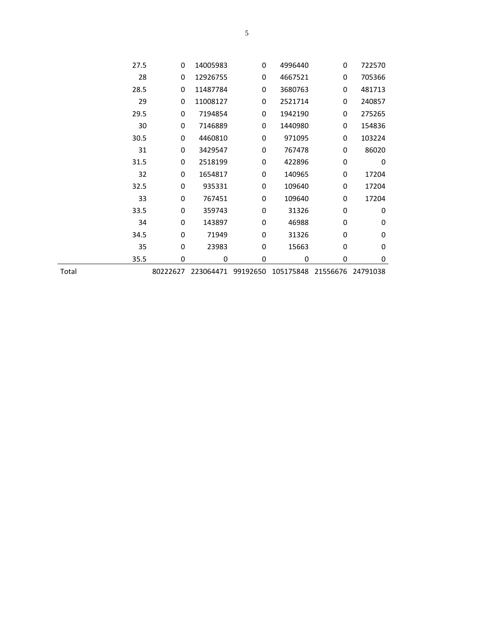|       | 27.5 | 0        | 14005983  | $\Omega$ | 4996440   | 0        | 722570      |  |
|-------|------|----------|-----------|----------|-----------|----------|-------------|--|
|       | 28   | 0        | 12926755  | 0        | 4667521   | 0        | 705366      |  |
|       | 28.5 | 0        | 11487784  | 0        | 3680763   | 0        | 481713      |  |
|       | 29   | 0        | 11008127  | 0        | 2521714   | 0        | 240857      |  |
|       | 29.5 | 0        | 7194854   | 0        | 1942190   | 0        | 275265      |  |
|       | 30   | 0        | 7146889   | 0        | 1440980   | 0        | 154836      |  |
|       | 30.5 | 0        | 4460810   | 0        | 971095    | 0        | 103224      |  |
|       | 31   | 0        | 3429547   | 0        | 767478    | 0        | 86020       |  |
|       | 31.5 | 0        | 2518199   | 0        | 422896    | 0        | $\mathbf 0$ |  |
|       | 32   | 0        | 1654817   | 0        | 140965    | 0        | 17204       |  |
|       | 32.5 | 0        | 935331    | 0        | 109640    | 0        | 17204       |  |
|       | 33   | 0        | 767451    | 0        | 109640    | 0        | 17204       |  |
|       | 33.5 | 0        | 359743    | 0        | 31326     | 0        | 0           |  |
|       | 34   | 0        | 143897    | 0        | 46988     | 0        | 0           |  |
|       | 34.5 | 0        | 71949     | 0        | 31326     | 0        | 0           |  |
|       | 35   | 0        | 23983     | 0        | 15663     | 0        | 0           |  |
|       | 35.5 | 0        | 0         | 0        | 0         | 0        | 0           |  |
| Total |      | 80222627 | 223064471 | 99192650 | 105175848 | 21556676 | 24791038    |  |
|       |      |          |           |          |           |          |             |  |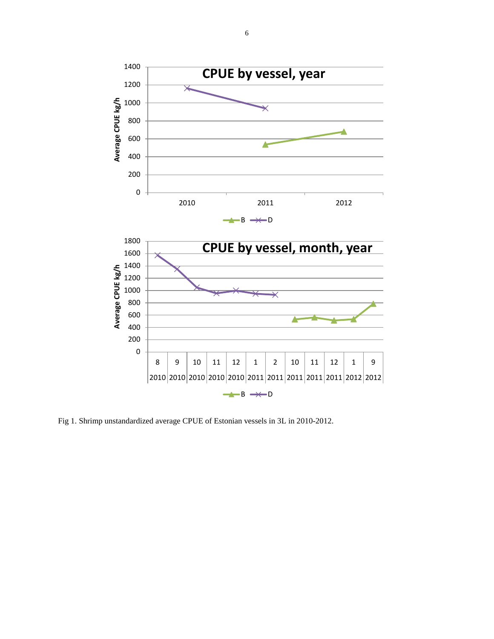

Fig 1. Shrimp unstandardized average CPUE of Estonian vessels in 3L in 2010-2012.